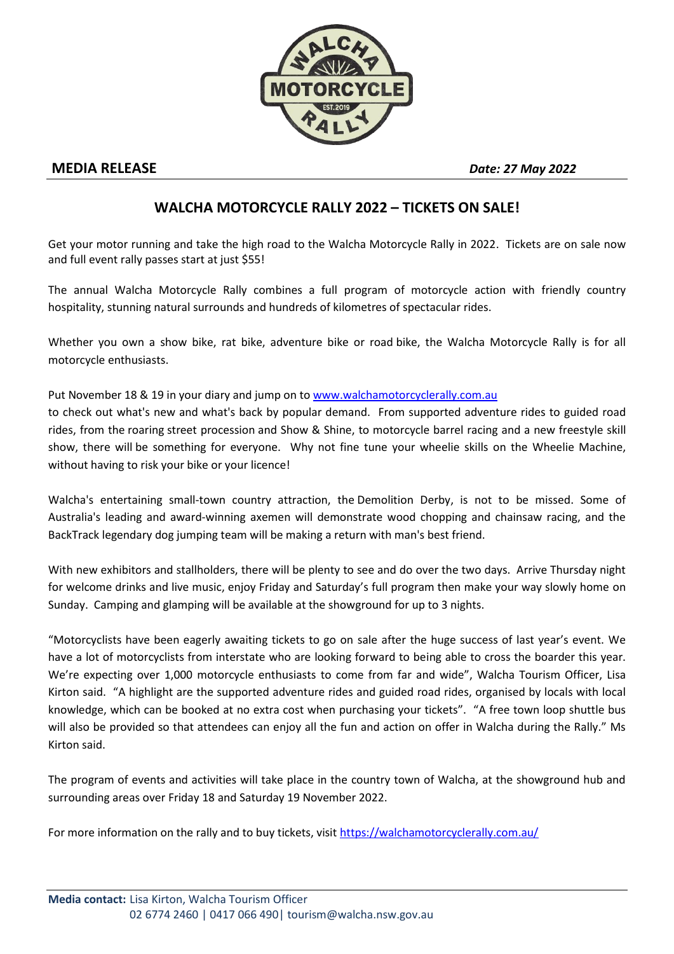

## **MEDIA RELEASE** *Date: <sup>27</sup> May <sup>2022</sup>*

## **WALCHA MOTORCYCLE RALLY 2022 – TICKETS ON SALE!**

Get your motor running and take the high road to the Walcha Motorcycle Rally in 2022. Tickets are on sale now and full event rally passes start at just \$55!

The annual Walcha Motorcycle Rally combines a full program of motorcycle action with friendly country hospitality, stunning natural surrounds and hundreds of kilometres of spectacular rides.

Whether you own a show bike, rat bike, adventure bike or road bike, the Walcha Motorcycle Rally is for all motorcycle enthusiasts.

Put November 18 & 19 in your diary and jump on to www.walchamotorcyclerally.com.au to check out what's new and what's back by popular demand. From supported adventure rides to guided road rides, from the roaring street procession and Show & Shine, to motorcycle barrel racing and a new freestyle skill show, there will be something for everyone. Why not fine tune your wheelie skills on the Wheelie Machine,

without having to risk your bike or your licence!

Walcha's entertaining small-town country attraction, the Demolition Derby, is not to be missed. Some of Australia's leading and award-winning axemen will demonstrate wood chopping and chainsaw racing, and the BackTrack legendary dog jumping team will be making a return with man's best friend.

With new exhibitors and stallholders, there will be plenty to see and do over the two days. Arrive Thursday night for welcome drinks and live music, enjoy Friday and Saturday's full program then make your way slowly home on Sunday. Camping and glamping will be available at the showground for up to 3 nights.

"Motorcyclists have been eagerly awaiting tickets to go on sale after the huge success of last year's event. We have a lot of motorcyclists from interstate who are looking forward to being able to cross the boarder this year. We're expecting over 1,000 motorcycle enthusiasts to come from far and wide", Walcha Tourism Officer, Lisa Kirton said. "A highlight are the supported adventure rides and guided road rides, organised by locals with local knowledge, which can be booked at no extra cost when purchasing your tickets". "A free town loop shuttle bus will also be provided so that attendees can enjoy all the fun and action on offer in Walcha during the Rally." Ms Kirton said.

The program of events and activities will take place in the country town of Walcha, at the showground hub and surrounding areas over Friday 18 and Saturday 19 November 2022.

For more information on the rally and to buy tickets, visit https://walchamotorcyclerally.com.au/